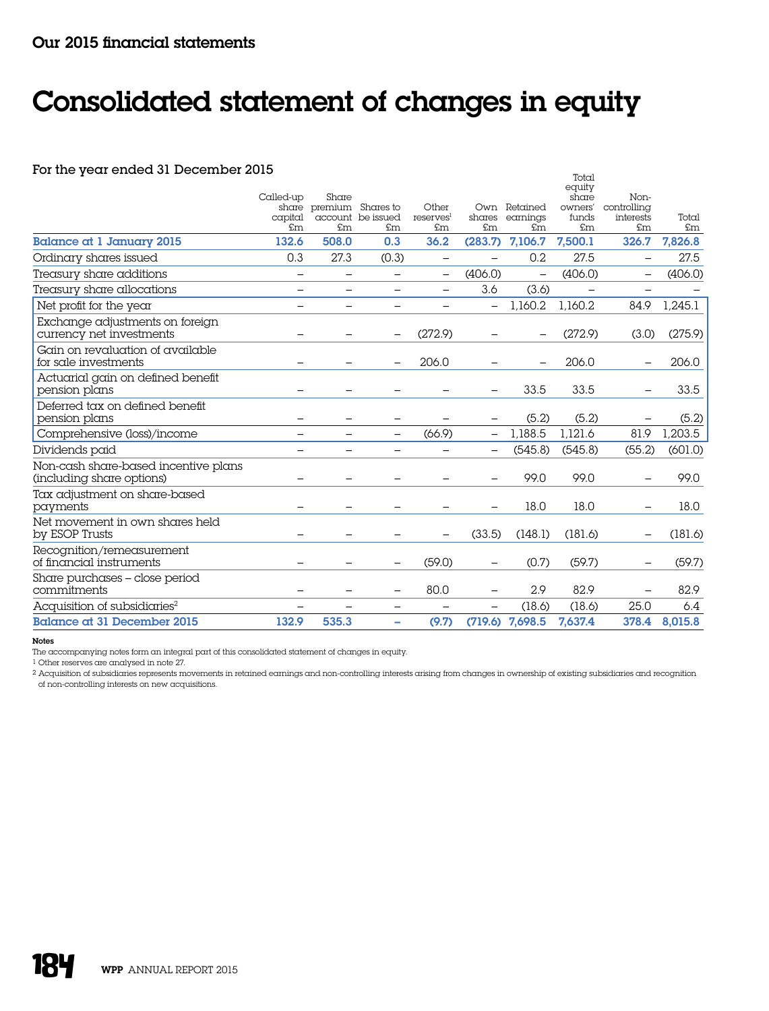## Consolidated statement of changes in equity

## For the year ended 31 December 2015

| For the year ended 31 December 2015                               |                   | Share                    |                                                            |                         |                   |                                       | Total<br>equity                 | Non-                           |             |
|-------------------------------------------------------------------|-------------------|--------------------------|------------------------------------------------------------|-------------------------|-------------------|---------------------------------------|---------------------------------|--------------------------------|-------------|
|                                                                   | Called-up<br>£m   | £m                       | share premium Shares to<br>capital account be issued<br>£m | Other<br>reserves<br>£m | £m                | Own Retained<br>shares earnings<br>£m | share<br>owners'<br>funds<br>£m | controlling<br>interests<br>£m | Total<br>£m |
| <b>Balance at 1 January 2015</b>                                  | 132.6             | 508.0                    | 0.3                                                        | 36.2                    | (283.7)           | 7,106.7                               | 7,500.1                         | 326.7                          | 7,826.8     |
| Ordinary shares issued                                            | 0.3               | 27.3                     | (0.3)                                                      | $\qquad \qquad -$       |                   | 0.2                                   | 27.5                            | $\overline{\phantom{m}}$       | 27.5        |
| Treasury share additions                                          |                   | $\overline{\phantom{0}}$ | $\overline{\phantom{0}}$                                   |                         | (406.0)           | $\overline{\phantom{0}}$              | (406.0)                         | $\qquad \qquad -$              | (406.0)     |
| Treasury share allocations                                        | $\qquad \qquad -$ | —                        |                                                            | $\qquad \qquad -$       | 3.6               | (3.6)                                 |                                 | $\overline{\phantom{m}}$       |             |
| Net profit for the year                                           | $\qquad \qquad -$ | $\qquad \qquad -$        |                                                            | —                       | $\qquad \qquad -$ | 1,160.2                               | 1,160.2                         | 84.9                           | 1,245.1     |
| Exchange adjustments on foreign<br>currency net investments       |                   |                          |                                                            | (272.9)                 |                   |                                       | (272.9)                         | (3.0)                          | (275.9)     |
| Gain on revaluation of available<br>for sale investments          |                   |                          |                                                            | 206.0                   |                   |                                       | 206.0                           |                                | 206.0       |
| Actuarial gain on defined benefit<br>pension plans                |                   |                          |                                                            |                         |                   | 33.5                                  | 33.5                            |                                | 33.5        |
| Deferred tax on defined benefit<br>pension plans                  |                   | —                        | $\overline{\phantom{0}}$                                   |                         |                   | (5.2)                                 | (5.2)                           |                                | (5.2)       |
| Comprehensive (loss)/income                                       |                   | $\overline{\phantom{0}}$ |                                                            | (66.9)                  |                   | 1,188.5                               | 1,121.6                         | 81.9                           | 1,203.5     |
| Dividends paid                                                    |                   |                          |                                                            |                         |                   | (545.8)                               | (545.8)                         | (55.2)                         | (601.0)     |
| Non-cash share-based incentive plans<br>(including share options) |                   |                          |                                                            |                         |                   | 99.0                                  | 99.0                            |                                | 99.0        |
| Tax adjustment on share-based<br>payments                         |                   |                          |                                                            |                         |                   | 18.0                                  | 18.0                            |                                | 18.0        |
| Net movement in own shares held<br>by ESOP Trusts                 |                   |                          |                                                            |                         | (33.5)            | (148.1)                               | (181.6)                         |                                | (181.6)     |
| Recognition/remeasurement<br>of financial instruments             |                   |                          | $\qquad \qquad -$                                          | (59.0)                  |                   | (0.7)                                 | (59.7)                          |                                | (59.7)      |
| Share purchases – close period<br>commitments                     |                   | $\overline{\phantom{0}}$ | $\qquad \qquad -$                                          | 80.0                    |                   | 2.9                                   | 82.9                            |                                | 82.9        |
| Acquisition of subsidiaries <sup>2</sup>                          |                   |                          |                                                            |                         |                   | (18.6)                                | (18.6)                          | 25.0                           | 6.4         |
| <b>Balance at 31 December 2015</b>                                | 132.9             | 535.3                    | ۰                                                          | (9.7)                   |                   | $(719.6)$ 7,698.5                     | 7,637.4                         | 378.4                          | 8,015.8     |

## Notes

The accompanying notes form an integral part of this consolidated statement of changes in equity.

1 Other reserves are analysed in note 27.

2 Acquisition of subsidiaries represents movements in retained earnings and non-controlling interests arising from changes in ownership of existing subsidiaries and recognition

of non-controlling interests on new acquisitions.